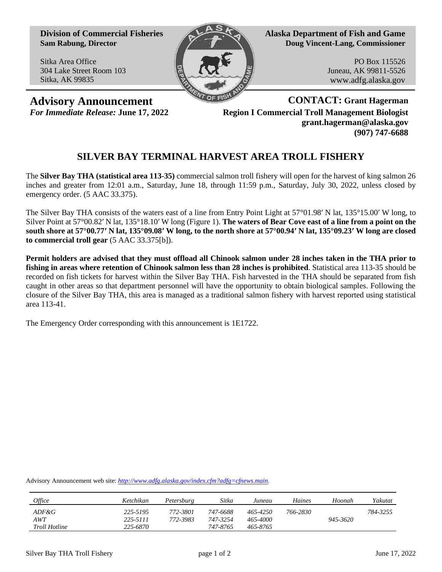**Division of Commercial Fisheries Sam Rabung, Director**

Sitka Area Office 304 Lake Street Room 103 Sitka, AK 99835



**Alaska Department of Fish and Game Doug Vincent-Lang, Commissioner**

> PO Box 115526 Juneau, AK 99811-5526 www.adfg.alaska.gov

**Advisory Announcement CONTACT: Grant Hagerman** *For Immediate Release:* **June 17, 2022 Region I Commercial Troll Management Biologist grant.hagerman@alaska.gov (907) 747-6688**

## **SILVER BAY TERMINAL HARVEST AREA TROLL FISHERY**

The **Silver Bay THA (statistical area 113-35)** commercial salmon troll fishery will open for the harvest of king salmon 26 inches and greater from 12:01 a.m., Saturday, June 18, through 11:59 p.m., Saturday, July 30, 2022, unless closed by emergency order. (5 AAC 33.375).

The Silver Bay THA consists of the waters east of a line from Entry Point Light at 57°01.98′ N lat, 135°15.00′ W long, to Silver Point at 57°00.82′ N lat, 135°18.10′ W long (Figure 1). **The waters of Bear Cove east of a line from a point on the south shore at 57°00.77′ N lat, 135°09.08′ W long, to the north shore at 57°00.94′ N lat, 135°09.23′ W long are closed to commercial troll gear** (5 AAC 33.375[b]).

**Permit holders are advised that they must offload all Chinook salmon under 28 inches taken in the THA prior to fishing in areas where retention of Chinook salmon less than 28 inches is prohibited**. Statistical area 113-35 should be recorded on fish tickets for harvest within the Silver Bay THA. Fish harvested in the THA should be separated from fish caught in other areas so that department personnel will have the opportunity to obtain biological samples. Following the closure of the Silver Bay THA, this area is managed as a traditional salmon fishery with harvest reported using statistical area 113-41.

The Emergency Order corresponding with this announcement is 1E1722.

Advisory Announcement web site: *[http://www.adfg.alaska.gov/index.cfm?adfg=cfnews.main.](http://www.adfg.alaska.gov/index.cfm?adfg=cfnews.main)*

| <i>Office</i>        | Ketchikan | Petersburg | Sitka    | Juneau   | Haines   | Hoonah   | Yakutat  |
|----------------------|-----------|------------|----------|----------|----------|----------|----------|
| $ADF\&G$             | 225-5195  | 772-3801   | 747-6688 | 465-4250 | 766-2830 |          | 784-3255 |
| AWT                  | 225-5111  | 772-3983   | 747-3254 | 465-4000 |          | 945-3620 |          |
| <b>Troll Hotline</b> | 225-6870  |            | 747-8765 | 465-8765 |          |          |          |